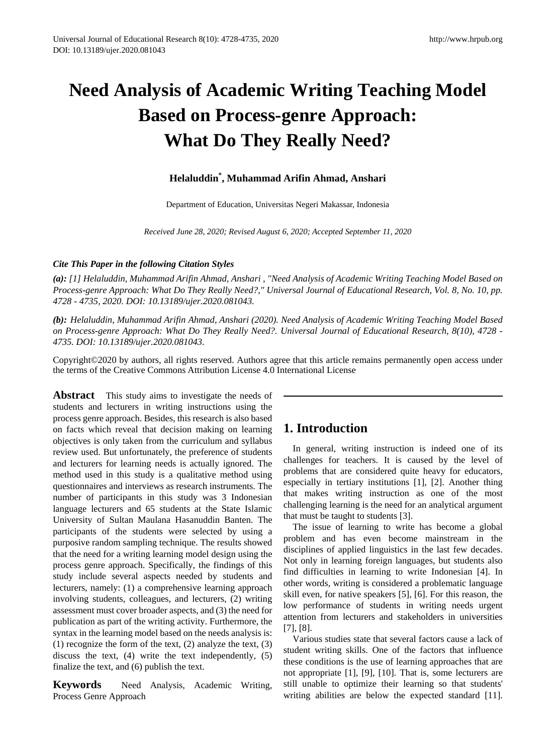# **Need Analysis of Academic Writing Teaching Model Based on Process-genre Approach: What Do They Really Need?**

# **Helaluddin\* , Muhammad Arifin Ahmad, Anshari**

Department of Education, Universitas Negeri Makassar, Indonesia

*Received June 28, 2020; Revised August 6, 2020; Accepted September 11, 2020*

#### *Cite This Paper in the following Citation Styles*

*(a): [1] Helaluddin, Muhammad Arifin Ahmad, Anshari , "Need Analysis of Academic Writing Teaching Model Based on Process-genre Approach: What Do They Really Need?," Universal Journal of Educational Research, Vol. 8, No. 10, pp. 4728 - 4735, 2020. DOI: 10.13189/ujer.2020.081043.* 

*(b): Helaluddin, Muhammad Arifin Ahmad, Anshari (2020). Need Analysis of Academic Writing Teaching Model Based on Process-genre Approach: What Do They Really Need?. Universal Journal of Educational Research, 8(10), 4728 - 4735. DOI: 10.13189/ujer.2020.081043.* 

Copyright©2020 by authors, all rights reserved. Authors agree that this article remains permanently open access under the terms of the Creative Commons Attribution License 4.0 International License

**Abstract** This study aims to investigate the needs of students and lecturers in writing instructions using the process genre approach. Besides, this research is also based on facts which reveal that decision making on learning objectives is only taken from the curriculum and syllabus review used. But unfortunately, the preference of students and lecturers for learning needs is actually ignored. The method used in this study is a qualitative method using questionnaires and interviews as research instruments. The number of participants in this study was 3 Indonesian language lecturers and 65 students at the State Islamic University of Sultan Maulana Hasanuddin Banten. The participants of the students were selected by using a purposive random sampling technique. The results showed that the need for a writing learning model design using the process genre approach. Specifically, the findings of this study include several aspects needed by students and lecturers, namely: (1) a comprehensive learning approach involving students, colleagues, and lecturers, (2) writing assessment must cover broader aspects, and (3) the need for publication as part of the writing activity. Furthermore, the syntax in the learning model based on the needs analysis is: (1) recognize the form of the text,  $(2)$  analyze the text,  $(3)$ discuss the text, (4) write the text independently, (5) finalize the text, and (6) publish the text.

**Keywords** Need Analysis, Academic Writing, Process Genre Approach

# **1. Introduction**

In general, writing instruction is indeed one of its challenges for teachers. It is caused by the level of problems that are considered quite heavy for educators, especially in tertiary institutions [1], [2]. Another thing that makes writing instruction as one of the most challenging learning is the need for an analytical argument that must be taught to students [3].

The issue of learning to write has become a global problem and has even become mainstream in the disciplines of applied linguistics in the last few decades. Not only in learning foreign languages, but students also find difficulties in learning to write Indonesian [4]. In other words, writing is considered a problematic language skill even, for native speakers [5], [6]. For this reason, the low performance of students in writing needs urgent attention from lecturers and stakeholders in universities [7], [8].

Various studies state that several factors cause a lack of student writing skills. One of the factors that influence these conditions is the use of learning approaches that are not appropriate [1], [9], [10]. That is, some lecturers are still unable to optimize their learning so that students' writing abilities are below the expected standard [11].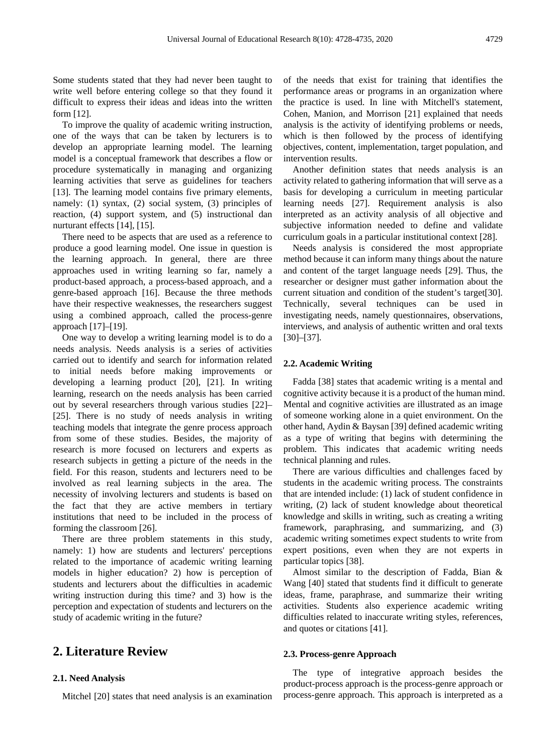Some students stated that they had never been taught to write well before entering college so that they found it difficult to express their ideas and ideas into the written form [12].

To improve the quality of academic writing instruction, one of the ways that can be taken by lecturers is to develop an appropriate learning model. The learning model is a conceptual framework that describes a flow or procedure systematically in managing and organizing learning activities that serve as guidelines for teachers [13]. The learning model contains five primary elements, namely: (1) syntax, (2) social system, (3) principles of reaction, (4) support system, and (5) instructional dan nurturant effects [14], [15].

There need to be aspects that are used as a reference to produce a good learning model. One issue in question is the learning approach. In general, there are three approaches used in writing learning so far, namely a product-based approach, a process-based approach, and a genre-based approach [16]. Because the three methods have their respective weaknesses, the researchers suggest using a combined approach, called the process-genre approach [17]–[19].

One way to develop a writing learning model is to do a needs analysis. Needs analysis is a series of activities carried out to identify and search for information related to initial needs before making improvements or developing a learning product [20], [21]. In writing learning, research on the needs analysis has been carried out by several researchers through various studies [22]– [25]. There is no study of needs analysis in writing teaching models that integrate the genre process approach from some of these studies. Besides, the majority of research is more focused on lecturers and experts as research subjects in getting a picture of the needs in the field. For this reason, students and lecturers need to be involved as real learning subjects in the area. The necessity of involving lecturers and students is based on the fact that they are active members in tertiary institutions that need to be included in the process of forming the classroom [26].

There are three problem statements in this study, namely: 1) how are students and lecturers' perceptions related to the importance of academic writing learning models in higher education? 2) how is perception of students and lecturers about the difficulties in academic writing instruction during this time? and 3) how is the perception and expectation of students and lecturers on the study of academic writing in the future?

# **2. Literature Review**

#### **2.1. Need Analysis**

Mitchel [20] states that need analysis is an examination

of the needs that exist for training that identifies the performance areas or programs in an organization where the practice is used. In line with Mitchell's statement, Cohen, Manion, and Morrison [21] explained that needs analysis is the activity of identifying problems or needs, which is then followed by the process of identifying objectives, content, implementation, target population, and intervention results.

Another definition states that needs analysis is an activity related to gathering information that will serve as a basis for developing a curriculum in meeting particular learning needs [27]. Requirement analysis is also interpreted as an activity analysis of all objective and subjective information needed to define and validate curriculum goals in a particular institutional context [28].

Needs analysis is considered the most appropriate method because it can inform many things about the nature and content of the target language needs [29]. Thus, the researcher or designer must gather information about the current situation and condition of the student's target[30]. Technically, several techniques can be used in investigating needs, namely questionnaires, observations, interviews, and analysis of authentic written and oral texts [30]–[37].

#### **2.2. Academic Writing**

Fadda [38] states that academic writing is a mental and cognitive activity because it is a product of the human mind. Mental and cognitive activities are illustrated as an image of someone working alone in a quiet environment. On the other hand, Aydin & Baysan [39] defined academic writing as a type of writing that begins with determining the problem. This indicates that academic writing needs technical planning and rules.

There are various difficulties and challenges faced by students in the academic writing process. The constraints that are intended include: (1) lack of student confidence in writing, (2) lack of student knowledge about theoretical knowledge and skills in writing, such as creating a writing framework, paraphrasing, and summarizing, and (3) academic writing sometimes expect students to write from expert positions, even when they are not experts in particular topics [38].

Almost similar to the description of Fadda, Bian & Wang [40] stated that students find it difficult to generate ideas, frame, paraphrase, and summarize their writing activities. Students also experience academic writing difficulties related to inaccurate writing styles, references, and quotes or citations [41].

#### **2.3. Process-genre Approach**

The type of integrative approach besides the product-process approach is the process-genre approach or process-genre approach. This approach is interpreted as a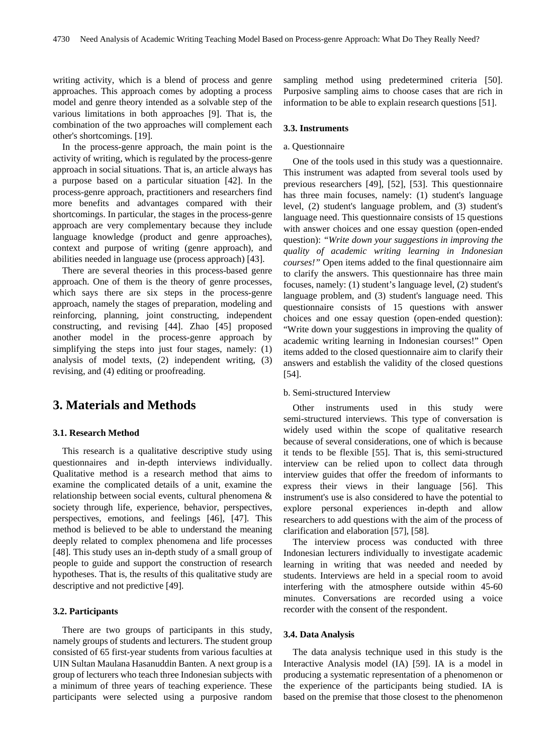writing activity, which is a blend of process and genre approaches. This approach comes by adopting a process model and genre theory intended as a solvable step of the various limitations in both approaches [9]. That is, the combination of the two approaches will complement each other's shortcomings. [19].

In the process-genre approach, the main point is the activity of writing, which is regulated by the process-genre approach in social situations. That is, an article always has a purpose based on a particular situation [42]. In the process-genre approach, practitioners and researchers find more benefits and advantages compared with their shortcomings. In particular, the stages in the process-genre approach are very complementary because they include language knowledge (product and genre approaches), context and purpose of writing (genre approach), and abilities needed in language use (process approach) [43].

There are several theories in this process-based genre approach. One of them is the theory of genre processes, which says there are six steps in the process-genre approach, namely the stages of preparation, modeling and reinforcing, planning, joint constructing, independent constructing, and revising [44]. Zhao [45] proposed another model in the process-genre approach by simplifying the steps into just four stages, namely: (1) analysis of model texts, (2) independent writing, (3) revising, and (4) editing or proofreading.

# **3. Materials and Methods**

#### **3.1. Research Method**

This research is a qualitative descriptive study using questionnaires and in-depth interviews individually. Qualitative method is a research method that aims to examine the complicated details of a unit, examine the relationship between social events, cultural phenomena & society through life, experience, behavior, perspectives, perspectives, emotions, and feelings [46], [47]. This method is believed to be able to understand the meaning deeply related to complex phenomena and life processes [48]. This study uses an in-depth study of a small group of people to guide and support the construction of research hypotheses. That is, the results of this qualitative study are descriptive and not predictive [49].

#### **3.2. Participants**

There are two groups of participants in this study, namely groups of students and lecturers. The student group consisted of 65 first-year students from various faculties at UIN Sultan Maulana Hasanuddin Banten. A next group is a group of lecturers who teach three Indonesian subjects with a minimum of three years of teaching experience. These participants were selected using a purposive random

sampling method using predetermined criteria [50]. Purposive sampling aims to choose cases that are rich in information to be able to explain research questions [51].

#### **3.3. Instruments**

#### a. Questionnaire

One of the tools used in this study was a questionnaire. This instrument was adapted from several tools used by previous researchers [49], [52], [53]. This questionnaire has three main focuses, namely: (1) student's language level, (2) student's language problem, and (3) student's language need. This questionnaire consists of 15 questions with answer choices and one essay question (open-ended question): *"Write down your suggestions in improving the quality of academic writing learning in Indonesian courses!"* Open items added to the final questionnaire aim to clarify the answers. This questionnaire has three main focuses, namely: (1) student's language level, (2) student's language problem, and (3) student's language need. This questionnaire consists of 15 questions with answer choices and one essay question (open-ended question): "Write down your suggestions in improving the quality of academic writing learning in Indonesian courses!" Open items added to the closed questionnaire aim to clarify their answers and establish the validity of the closed questions [54].

#### b. Semi-structured Interview

Other instruments used in this study were semi-structured interviews. This type of conversation is widely used within the scope of qualitative research because of several considerations, one of which is because it tends to be flexible [55]. That is, this semi-structured interview can be relied upon to collect data through interview guides that offer the freedom of informants to express their views in their language [56]. This instrument's use is also considered to have the potential to explore personal experiences in-depth and allow researchers to add questions with the aim of the process of clarification and elaboration [57], [58].

The interview process was conducted with three Indonesian lecturers individually to investigate academic learning in writing that was needed and needed by students. Interviews are held in a special room to avoid interfering with the atmosphere outside within 45-60 minutes. Conversations are recorded using a voice recorder with the consent of the respondent.

#### **3.4. Data Analysis**

The data analysis technique used in this study is the Interactive Analysis model (IA) [59]. IA is a model in producing a systematic representation of a phenomenon or the experience of the participants being studied. IA is based on the premise that those closest to the phenomenon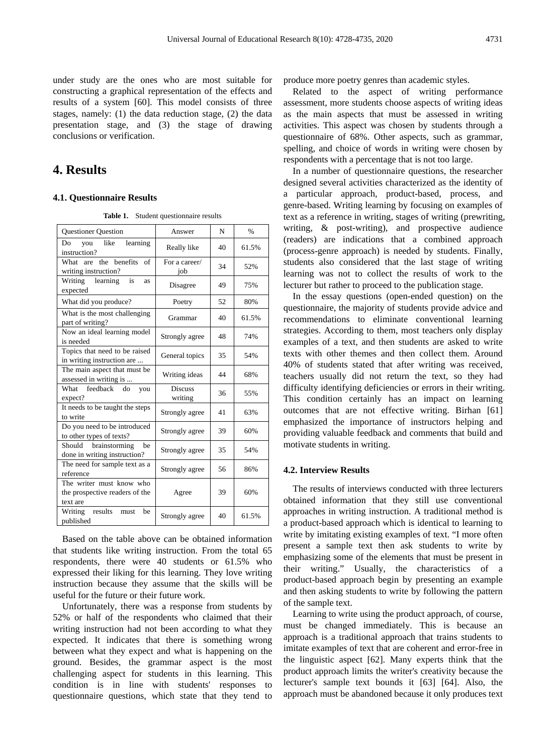under study are the ones who are most suitable for constructing a graphical representation of the effects and results of a system [60]. This model consists of three stages, namely: (1) the data reduction stage, (2) the data presentation stage, and (3) the stage of drawing conclusions or verification.

# **4. Results**

#### **4.1. Questionnaire Results**

**Table 1.** Student questionnaire results

| <b>Questioner Question</b>                                             | Answer                    | N  | $\frac{0}{0}$ |
|------------------------------------------------------------------------|---------------------------|----|---------------|
| learning<br>like<br>D <sub>0</sub><br>you<br>instruction?              | Really like               | 40 | 61.5%         |
| What are the benefits<br>of<br>writing instruction?                    | For a career/<br>iob      | 34 | 52%           |
| Writing<br>learning<br>is<br>as<br>expected                            | Disagree                  | 49 | 75%           |
| What did you produce?                                                  | Poetry                    | 52 | 80%           |
| What is the most challenging<br>part of writing?                       | Grammar                   | 40 | 61.5%         |
| Now an ideal learning model<br>is needed                               | Strongly agree            | 48 | 74%           |
| Topics that need to be raised<br>in writing instruction are            | General topics            | 35 | 54%           |
| The main aspect that must be<br>assessed in writing is                 | Writing ideas             | 44 | 68%           |
| feedback do<br>What<br>you<br>expect?                                  | <b>Discuss</b><br>writing | 36 | 55%           |
| It needs to be taught the steps<br>to write                            | Strongly agree            | 41 | 63%           |
| Do you need to be introduced<br>to other types of texts?               | Strongly agree            | 39 | 60%           |
| brainstorming<br>Should<br>be<br>done in writing instruction?          | Strongly agree            | 35 | 54%           |
| The need for sample text as a<br>reference                             | Strongly agree            | 56 | 86%           |
| The writer must know who<br>the prospective readers of the<br>text are | Agree                     | 39 | 60%           |
| results<br>Writing<br>be<br>must<br>published                          | Strongly agree            | 40 | 61.5%         |

Based on the table above can be obtained information that students like writing instruction. From the total 65 respondents, there were 40 students or 61.5% who expressed their liking for this learning. They love writing instruction because they assume that the skills will be useful for the future or their future work.

Unfortunately, there was a response from students by 52% or half of the respondents who claimed that their writing instruction had not been according to what they expected. It indicates that there is something wrong between what they expect and what is happening on the ground. Besides, the grammar aspect is the most challenging aspect for students in this learning. This condition is in line with students' responses to questionnaire questions, which state that they tend to

produce more poetry genres than academic styles.

Related to the aspect of writing performance assessment, more students choose aspects of writing ideas as the main aspects that must be assessed in writing activities. This aspect was chosen by students through a questionnaire of 68%. Other aspects, such as grammar, spelling, and choice of words in writing were chosen by respondents with a percentage that is not too large.

In a number of questionnaire questions, the researcher designed several activities characterized as the identity of a particular approach, product-based, process, and genre-based. Writing learning by focusing on examples of text as a reference in writing, stages of writing (prewriting, writing, & post-writing), and prospective audience (readers) are indications that a combined approach (process-genre approach) is needed by students. Finally, students also considered that the last stage of writing learning was not to collect the results of work to the lecturer but rather to proceed to the publication stage.

In the essay questions (open-ended question) on the questionnaire, the majority of students provide advice and recommendations to eliminate conventional learning strategies. According to them, most teachers only display examples of a text, and then students are asked to write texts with other themes and then collect them. Around 40% of students stated that after writing was received, teachers usually did not return the text, so they had difficulty identifying deficiencies or errors in their writing. This condition certainly has an impact on learning outcomes that are not effective writing. Birhan [61] emphasized the importance of instructors helping and providing valuable feedback and comments that build and motivate students in writing.

#### **4.2. Interview Results**

The results of interviews conducted with three lecturers obtained information that they still use conventional approaches in writing instruction. A traditional method is a product-based approach which is identical to learning to write by imitating existing examples of text. "I more often present a sample text then ask students to write by emphasizing some of the elements that must be present in their writing." Usually, the characteristics of a product-based approach begin by presenting an example and then asking students to write by following the pattern of the sample text.

Learning to write using the product approach, of course, must be changed immediately. This is because an approach is a traditional approach that trains students to imitate examples of text that are coherent and error-free in the linguistic aspect [62]. Many experts think that the product approach limits the writer's creativity because the lecturer's sample text bounds it [63] [64]. Also, the approach must be abandoned because it only produces text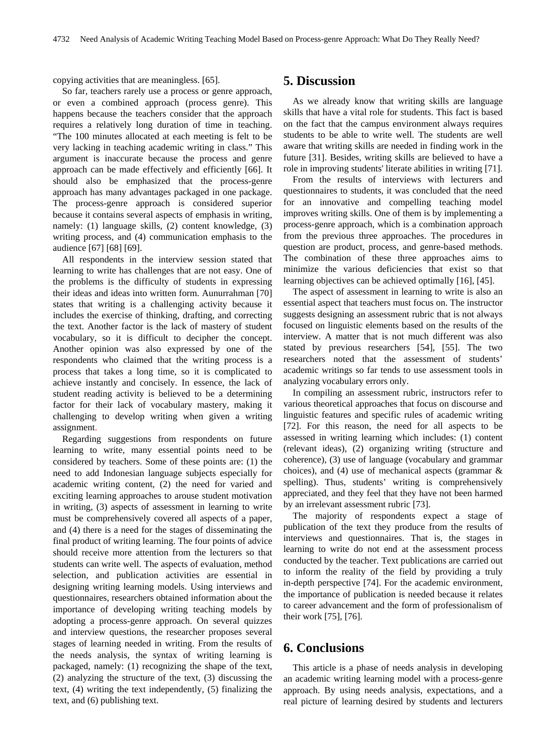copying activities that are meaningless. [65].

So far, teachers rarely use a process or genre approach, or even a combined approach (process genre). This happens because the teachers consider that the approach requires a relatively long duration of time in teaching. "The 100 minutes allocated at each meeting is felt to be very lacking in teaching academic writing in class." This argument is inaccurate because the process and genre approach can be made effectively and efficiently [66]. It should also be emphasized that the process-genre approach has many advantages packaged in one package. The process-genre approach is considered superior because it contains several aspects of emphasis in writing, namely: (1) language skills, (2) content knowledge, (3) writing process, and (4) communication emphasis to the audience [67] [68] [69].

All respondents in the interview session stated that learning to write has challenges that are not easy. One of the problems is the difficulty of students in expressing their ideas and ideas into written form. Aunurrahman [70] states that writing is a challenging activity because it includes the exercise of thinking, drafting, and correcting the text. Another factor is the lack of mastery of student vocabulary, so it is difficult to decipher the concept. Another opinion was also expressed by one of the respondents who claimed that the writing process is a process that takes a long time, so it is complicated to achieve instantly and concisely. In essence, the lack of student reading activity is believed to be a determining factor for their lack of vocabulary mastery, making it challenging to develop writing when given a writing assignment.

Regarding suggestions from respondents on future learning to write, many essential points need to be considered by teachers. Some of these points are: (1) the need to add Indonesian language subjects especially for academic writing content, (2) the need for varied and exciting learning approaches to arouse student motivation in writing, (3) aspects of assessment in learning to write must be comprehensively covered all aspects of a paper, and (4) there is a need for the stages of disseminating the final product of writing learning. The four points of advice should receive more attention from the lecturers so that students can write well. The aspects of evaluation, method selection, and publication activities are essential in designing writing learning models. Using interviews and questionnaires, researchers obtained information about the importance of developing writing teaching models by adopting a process-genre approach. On several quizzes and interview questions, the researcher proposes several stages of learning needed in writing. From the results of the needs analysis, the syntax of writing learning is packaged, namely: (1) recognizing the shape of the text, (2) analyzing the structure of the text, (3) discussing the text, (4) writing the text independently, (5) finalizing the text, and (6) publishing text.

### **5. Discussion**

As we already know that writing skills are language skills that have a vital role for students. This fact is based on the fact that the campus environment always requires students to be able to write well. The students are well aware that writing skills are needed in finding work in the future [31]. Besides, writing skills are believed to have a role in improving students' literate abilities in writing [71].

From the results of interviews with lecturers and questionnaires to students, it was concluded that the need for an innovative and compelling teaching model improves writing skills. One of them is by implementing a process-genre approach, which is a combination approach from the previous three approaches. The procedures in question are product, process, and genre-based methods. The combination of these three approaches aims to minimize the various deficiencies that exist so that learning objectives can be achieved optimally [16], [45].

The aspect of assessment in learning to write is also an essential aspect that teachers must focus on. The instructor suggests designing an assessment rubric that is not always focused on linguistic elements based on the results of the interview. A matter that is not much different was also stated by previous researchers [54], [55]. The two researchers noted that the assessment of students' academic writings so far tends to use assessment tools in analyzing vocabulary errors only.

In compiling an assessment rubric, instructors refer to various theoretical approaches that focus on discourse and linguistic features and specific rules of academic writing [72]. For this reason, the need for all aspects to be assessed in writing learning which includes: (1) content (relevant ideas), (2) organizing writing (structure and coherence), (3) use of language (vocabulary and grammar choices), and (4) use of mechanical aspects (grammar  $\&$ spelling). Thus, students' writing is comprehensively appreciated, and they feel that they have not been harmed by an irrelevant assessment rubric [73].

The majority of respondents expect a stage of publication of the text they produce from the results of interviews and questionnaires. That is, the stages in learning to write do not end at the assessment process conducted by the teacher. Text publications are carried out to inform the reality of the field by providing a truly in-depth perspective [74]. For the academic environment, the importance of publication is needed because it relates to career advancement and the form of professionalism of their work [75], [76].

# **6. Conclusions**

This article is a phase of needs analysis in developing an academic writing learning model with a process-genre approach. By using needs analysis, expectations, and a real picture of learning desired by students and lecturers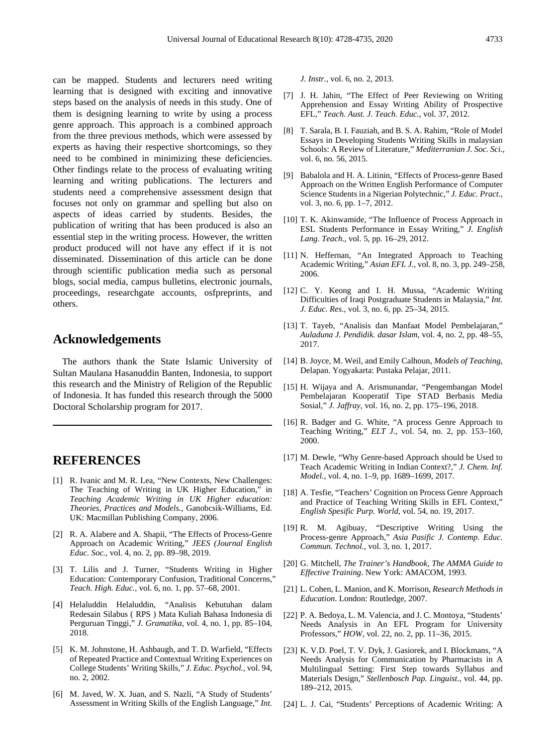can be mapped. Students and lecturers need writing learning that is designed with exciting and innovative steps based on the analysis of needs in this study. One of them is designing learning to write by using a process genre approach. This approach is a combined approach from the three previous methods, which were assessed by experts as having their respective shortcomings, so they need to be combined in minimizing these deficiencies. Other findings relate to the process of evaluating writing learning and writing publications. The lecturers and students need a comprehensive assessment design that focuses not only on grammar and spelling but also on aspects of ideas carried by students. Besides, the publication of writing that has been produced is also an essential step in the writing process. However, the written product produced will not have any effect if it is not disseminated. Dissemination of this article can be done through scientific publication media such as personal blogs, social media, campus bulletins, electronic journals, proceedings, researchgate accounts, osfpreprints, and others.

### **Acknowledgements**

The authors thank the State Islamic University of Sultan Maulana Hasanuddin Banten, Indonesia, to support this research and the Ministry of Religion of the Republic of Indonesia. It has funded this research through the 5000 Doctoral Scholarship program for 2017.

## **REFERENCES**

- [1] R. Ivanic and M. R. Lea, "New Contexts, New Challenges: The Teaching of Writing in UK Higher Education," in *Teaching Academic Writing in UK Higher education: Theories, Practices and Models.*, Ganobcsik-Williams, Ed. UK: Macmillan Publishing Company, 2006.
- [2] R. A. Alabere and A. Shapii, "The Effects of Process-Genre Approach on Academic Writing," *JEES (Journal English Educ. Soc.*, vol. 4, no. 2, pp. 89–98, 2019.
- [3] T. Lilis and J. Turner, "Students Writing in Higher Education: Contemporary Confusion, Traditional Concerns," *Teach. High. Educ.*, vol. 6, no. 1, pp. 57–68, 2001.
- [4] Helaluddin Helaluddin, "Analisis Kebutuhan dalam Redesain Silabus ( RPS ) Mata Kuliah Bahasa Indonesia di Perguruan Tinggi," *J. Gramatika*, vol. 4, no. 1, pp. 85–104, 2018.
- [5] K. M. Johnstone, H. Ashbaugh, and T. D. Warfield, "Effects of Repeated Practice and Contextual Writing Experiences on College Students' Writing Skills," *J. Educ. Psychol.*, vol. 94, no. 2, 2002.
- [6] M. Javed, W. X. Juan, and S. Nazli, "A Study of Students' Assessment in Writing Skills of the English Language," *Int.*

*J. Instr.*, vol. 6, no. 2, 2013.

- [7] J. H. Jahin, "The Effect of Peer Reviewing on Writing Apprehension and Essay Writing Ability of Prospective EFL," *Teach. Aust. J. Teach. Educ.*, vol. 37, 2012.
- [8] T. Sarala, B. I. Fauziah, and B. S. A. Rahim, "Role of Model Essays in Developing Students Writing Skills in malaysian Schools: A Review of Literature," *Mediterranian J. Soc. Sci.*, vol. 6, no. 56, 2015.
- [9] Babalola and H. A. Litinin, "Effects of Process-genre Based Approach on the Written English Performance of Computer Science Students in a Nigerian Polytechnic," *J. Educ. Pract.*, vol. 3, no. 6, pp. 1–7, 2012.
- [10] T. K. Akinwamide, "The Influence of Process Approach in ESL Students Performance in Essay Writing," *J. English Lang. Teach.*, vol. 5, pp. 16–29, 2012.
- [11] N. Heffernan, "An Integrated Approach to Teaching Academic Writing," *Asian EFL J.*, vol. 8, no. 3, pp. 249–258, 2006.
- [12] C. Y. Keong and I. H. Mussa, "Academic Writing Difficulties of Iraqi Postgraduate Students in Malaysia," *Int. J. Educ. Res.*, vol. 3, no. 6, pp. 25–34, 2015.
- [13] T. Tayeb, "Analisis dan Manfaat Model Pembelajaran," *Auladuna J. Pendidik. dasar Islam*, vol. 4, no. 2, pp. 48–55, 2017.
- [14] B. Joyce, M. Weil, and Emily Calhoun, *Models of Teaching*, Delapan. Yogyakarta: Pustaka Pelajar, 2011.
- [15] H. Wijaya and A. Arismunandar, "Pengembangan Model Pembelajaran Kooperatif Tipe STAD Berbasis Media Sosial," *J. Jaffray*, vol. 16, no. 2, pp. 175–196, 2018.
- [16] R. Badger and G. White, "A process Genre Approach to Teaching Writing," *ELT J.*, vol. 54, no. 2, pp. 153–160, 2000.
- [17] M. Dewle, "Why Genre-based Approach should be Used to Teach Academic Writing in Indian Context?," *J. Chem. Inf. Model.*, vol. 4, no. 1–9, pp. 1689–1699, 2017.
- [18] A. Tesfie, "Teachers' Cognition on Process Genre Approach and Practice of Teaching Writing Skills in EFL Context," *English Spesific Purp. World*, vol. 54, no. 19, 2017.
- [19] R. M. Agibuay, "Descriptive Writing Using the Process-genre Approach," *Asia Pasific J. Contemp. Educ. Commun. Technol.*, vol. 3, no. 1, 2017.
- [20] G. Mitchell, *The Trainer's Handbook, The AMMA Guide to Effective Training*. New York: AMACOM, 1993.
- [21] L. Cohen, L. Manion, and K. Morrison, *Research Methods in Education*. London: Routledge, 2007.
- [22] P. A. Bedoya, L. M. Valencia, and J. C. Montoya, "Students' Needs Analysis in An EFL Program for University Professors," *HOW*, vol. 22, no. 2, pp. 11–36, 2015.
- [23] K. V.D. Poel, T. V. Dyk, J. Gasiorek, and I. Blockmans, "A Needs Analysis for Communication by Pharmacists in A Multilingual Setting: First Step towards Syllabus and Materials Design," *Stellenbosch Pap. Linguist.*, vol. 44, pp. 189–212, 2015.
- [24] L. J. Cai, "Students' Perceptions of Academic Writing: A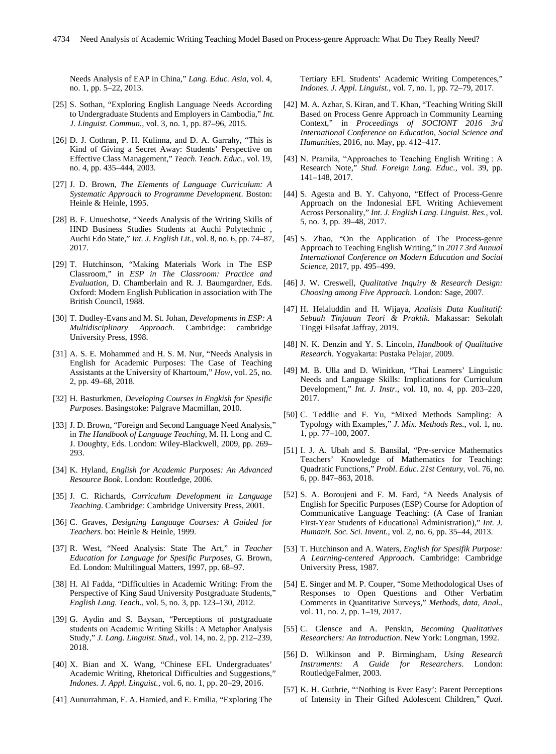Needs Analysis of EAP in China," *Lang. Educ. Asia*, vol. 4, no. 1, pp. 5–22, 2013.

- [25] S. Sothan, "Exploring English Language Needs According to Undergraduate Students and Employers in Cambodia," *Int. J. Linguist. Commun.*, vol. 3, no. 1, pp. 87–96, 2015.
- [26] D. J. Cothran, P. H. Kulinna, and D. A. Garrahy, "This is Kind of Giving a Secret Away: Students' Perspective on Effective Class Management," *Teach. Teach. Educ.*, vol. 19, no. 4, pp. 435–444, 2003.
- [27] J. D. Brown, *The Elements of Language Curriculum: A Systematic Approach to Programme Development*. Boston: Heinle & Heinle, 1995.
- [28] B. F. Unueshotse, "Needs Analysis of the Writing Skills of HND Business Studies Students at Auchi Polytechnic , Auchi Edo State," *Int. J. English Lit.*, vol. 8, no. 6, pp. 74–87, 2017.
- [29] T. Hutchinson, "Making Materials Work in The ESP Classroom," in *ESP in The Classroom: Practice and Evaluation*, D. Chamberlain and R. J. Baumgardner, Eds. Oxford: Modern English Publication in association with The British Council, 1988.
- [30] T. Dudley-Evans and M. St. Johan, *Developments in ESP: A Multidisciplinary Approach*. Cambridge: cambridge University Press, 1998.
- [31] A. S. E. Mohammed and H. S. M. Nur, "Needs Analysis in English for Academic Purposes: The Case of Teaching Assistants at the University of Khartoum," *How*, vol. 25, no. 2, pp. 49–68, 2018.
- [32] H. Basturkmen, *Developing Courses in Engkish for Spesific Purposes*. Basingstoke: Palgrave Macmillan, 2010.
- [33] J. D. Brown, "Foreign and Second Language Need Analysis," in *The Handbook of Language Teaching*, M. H. Long and C. J. Doughty, Eds. London: Wiley-Blackwell, 2009, pp. 269– 293.
- [34] K. Hyland, *English for Academic Purposes: An Advanced Resource Book*. London: Routledge, 2006.
- [35] J. C. Richards, *Curriculum Development in Language Teaching*. Cambridge: Cambridge University Press, 2001.
- [36] C. Graves, *Designing Language Courses: A Guided for Teachers*. bo: Heinle & Heinle, 1999.
- [37] R. West, "Need Analysis: State The Art," in *Teacher Education for Language for Spesific Purposes*, G. Brown, Ed. London: Multilingual Matters, 1997, pp. 68–97.
- [38] H. Al Fadda, "Difficulties in Academic Writing: From the Perspective of King Saud University Postgraduate Students,' *English Lang. Teach.*, vol. 5, no. 3, pp. 123–130, 2012.
- [39] G. Aydin and S. Baysan, "Perceptions of postgraduate students on Academic Writing Skills : A Metaphor Analysis Study," *J. Lang. Linguist. Stud.*, vol. 14, no. 2, pp. 212–239, 2018.
- [40] X. Bian and X. Wang, "Chinese EFL Undergraduates' Academic Writing, Rhetorical Difficulties and Suggestions," *Indones. J. Appl. Linguist.*, vol. 6, no. 1, pp. 20–29, 2016.
- [41] Aunurrahman, F. A. Hamied, and E. Emilia, "Exploring The

Tertiary EFL Students' Academic Writing Competences," *Indones. J. Appl. Linguist.*, vol. 7, no. 1, pp. 72–79, 2017.

- [42] M. A. Azhar, S. Kiran, and T. Khan, "Teaching Writing Skill Based on Process Genre Approach in Community Learning Context," in *Proceedings of SOCIONT 2016 3rd International Conference on Education, Social Science and Humanities*, 2016, no. May, pp. 412–417.
- [43] N. Pramila, "Approaches to Teaching English Writing: A Research Note," *Stud. Foreign Lang. Educ.*, vol. 39, pp. 141–148, 2017.
- [44] S. Agesta and B. Y. Cahyono, "Effect of Process-Genre Approach on the Indonesial EFL Writing Achievement Across Personality," *Int. J. English Lang. Linguist. Res.*, vol. 5, no. 3, pp. 39–48, 2017.
- [45] S. Zhao, "On the Application of The Process-genre Approach to Teaching English Writing," in *2017 3rd Annual International Conference on Modern Education and Social Science*, 2017, pp. 495–499.
- [46] J. W. Creswell, *Qualitative Inquiry & Research Design: Choosing among Five Approach*. London: Sage, 2007.
- [47] H. Helaluddin and H. Wijaya, *Analisis Data Kualitatif: Sebuah Tinjauan Teori & Praktik*. Makassar: Sekolah Tinggi Filsafat Jaffray, 2019.
- [48] N. K. Denzin and Y. S. Lincoln, *Handbook of Qualitative Research*. Yogyakarta: Pustaka Pelajar, 2009.
- [49] M. B. Ulla and D. Winitkun, "Thai Learners' Linguistic Needs and Language Skills: Implications for Curriculum Development," *Int. J. Instr.*, vol. 10, no. 4, pp. 203–220, 2017.
- [50] C. Teddlie and F. Yu, "Mixed Methods Sampling: A Typology with Examples," *J. Mix. Methods Res.*, vol. 1, no. 1, pp. 77–100, 2007.
- [51] I. J. A. Ubah and S. Bansilal, "Pre-service Mathematics Teachers' Knowledge of Mathematics for Teaching: Quadratic Functions," *Probl. Educ. 21st Century*, vol. 76, no. 6, pp. 847–863, 2018.
- [52] S. A. Boroujeni and F. M. Fard, "A Needs Analysis of English for Specific Purposes (ESP) Course for Adoption of Communicative Language Teaching: (A Case of Iranian First-Year Students of Educational Administration)," *Int. J. Humanit. Soc. Sci. Invent.*, vol. 2, no. 6, pp. 35–44, 2013.
- [53] T. Hutchinson and A. Waters, *English for Spesifik Purpose: A Learning-centered Approach*. Cambridge: Cambridge University Press, 1987.
- [54] E. Singer and M. P. Couper, "Some Methodological Uses of Responses to Open Questions and Other Verbatim Comments in Quantitative Surveys," *Methods, data, Anal.*, vol. 11, no. 2, pp. 1–19, 2017.
- [55] C. Glensce and A. Penskin, *Becoming Qualitatives Researchers: An Introduction*. New York: Longman, 1992.
- [56] D. Wilkinson and P. Birmingham, *Using Research Instruments: A Guide for Researchers*. London: RoutledgeFalmer, 2003.
- [57] K. H. Guthrie, "'Nothing is Ever Easy': Parent Perceptions of Intensity in Their Gifted Adolescent Children," *Qual.*